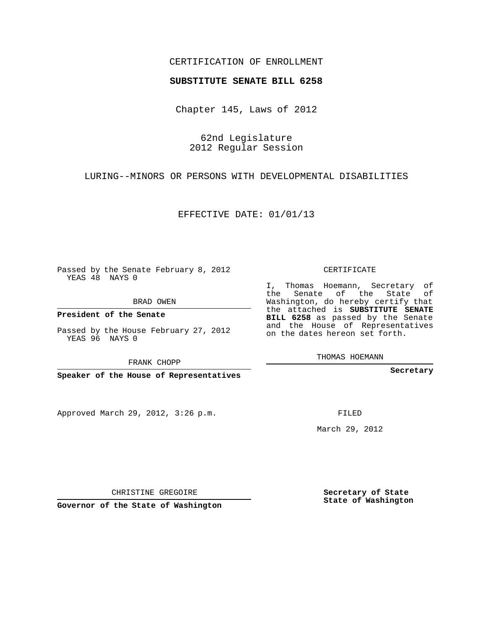## CERTIFICATION OF ENROLLMENT

## **SUBSTITUTE SENATE BILL 6258**

Chapter 145, Laws of 2012

62nd Legislature 2012 Regular Session

LURING--MINORS OR PERSONS WITH DEVELOPMENTAL DISABILITIES

EFFECTIVE DATE: 01/01/13

Passed by the Senate February 8, 2012 YEAS 48 NAYS 0

BRAD OWEN

**President of the Senate**

Passed by the House February 27, 2012 YEAS 96 NAYS 0

FRANK CHOPP

**Speaker of the House of Representatives**

Approved March 29, 2012, 3:26 p.m.

CERTIFICATE

I, Thomas Hoemann, Secretary of the Senate of the State of Washington, do hereby certify that the attached is **SUBSTITUTE SENATE BILL 6258** as passed by the Senate and the House of Representatives on the dates hereon set forth.

THOMAS HOEMANN

**Secretary**

FILED

March 29, 2012

**Secretary of State State of Washington**

CHRISTINE GREGOIRE

**Governor of the State of Washington**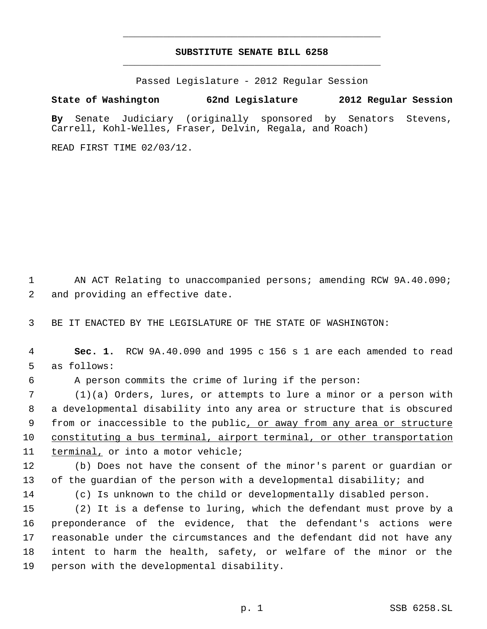## **SUBSTITUTE SENATE BILL 6258** \_\_\_\_\_\_\_\_\_\_\_\_\_\_\_\_\_\_\_\_\_\_\_\_\_\_\_\_\_\_\_\_\_\_\_\_\_\_\_\_\_\_\_\_\_

\_\_\_\_\_\_\_\_\_\_\_\_\_\_\_\_\_\_\_\_\_\_\_\_\_\_\_\_\_\_\_\_\_\_\_\_\_\_\_\_\_\_\_\_\_

Passed Legislature - 2012 Regular Session

## **State of Washington 62nd Legislature 2012 Regular Session**

**By** Senate Judiciary (originally sponsored by Senators Stevens, Carrell, Kohl-Welles, Fraser, Delvin, Regala, and Roach)

READ FIRST TIME 02/03/12.

 AN ACT Relating to unaccompanied persons; amending RCW 9A.40.090; and providing an effective date.

BE IT ENACTED BY THE LEGISLATURE OF THE STATE OF WASHINGTON:

 **Sec. 1.** RCW 9A.40.090 and 1995 c 156 s 1 are each amended to read as follows:

A person commits the crime of luring if the person:

 (1)(a) Orders, lures, or attempts to lure a minor or a person with a developmental disability into any area or structure that is obscured 9 from or inaccessible to the public, or away from any area or structure constituting a bus terminal, airport terminal, or other transportation terminal, or into a motor vehicle;

 (b) Does not have the consent of the minor's parent or guardian or 13 of the guardian of the person with a developmental disability; and

(c) Is unknown to the child or developmentally disabled person.

 (2) It is a defense to luring, which the defendant must prove by a preponderance of the evidence, that the defendant's actions were reasonable under the circumstances and the defendant did not have any intent to harm the health, safety, or welfare of the minor or the person with the developmental disability.